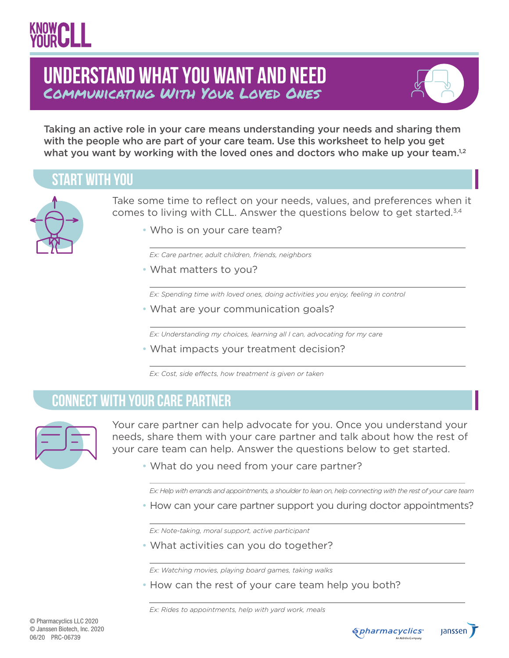## Communicating With Your Loved Ones **Understand What You Want and Need**



Taking an active role in your care means understanding your needs and sharing them with the people who are part of your care team. Use this worksheet to help you get what you want by working with the loved ones and doctors who make up your team. $1,2$ 

#### **start with you**



Take some time to reflect on your needs, values, and preferences when it comes to living with CLL. Answer the questions below to get started.<sup>3,4</sup>

• Who is on your care team?

*Ex: Care partner, adult children, friends, neighbors* 

• What matters to you?

*Ex: Spending time with loved ones, doing activities you enjoy, feeling in control*

• What are your communication goals?

*Ex: Understanding my choices, learning all I can, advocating for my care* 

• What impacts your treatment decision?

*Ex: Cost, side effects, how treatment is given or taken*

#### **connect with your Care Partner**



Your care partner can help advocate for you. Once you understand your needs, share them with your care partner and talk about how the rest of your care team can help. Answer the questions below to get started.

• What do you need from your care partner?

*Ex: Help with errands and appointments, a shoulder to lean on, help connecting with the rest of your care team*

• How can your care partner support you during doctor appointments?

*Ex: Note-taking, moral support, active participant*

• What activities can you do together?

*Ex: Watching movies, playing board games, taking walks*

• How can the rest of your care team help you both?

*Ex: Rides to appointments, help with yard work, meals*